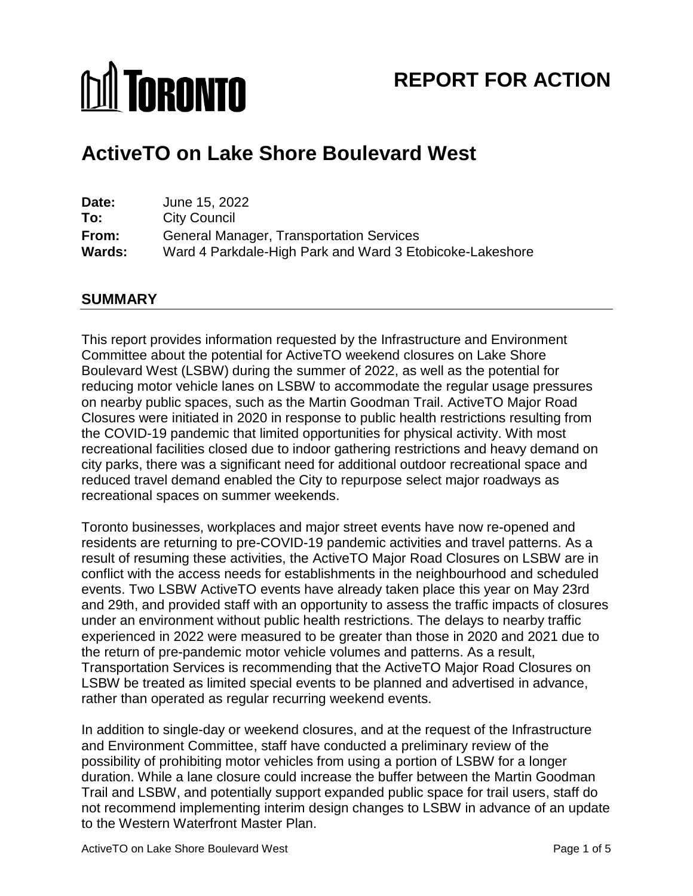# **M** TORONTO

# **REPORT FOR ACTION**

# **ActiveTO on Lake Shore Boulevard West**

| Date:         | June 15, 2022                                            |
|---------------|----------------------------------------------------------|
| To:           | <b>City Council</b>                                      |
| From:         | <b>General Manager, Transportation Services</b>          |
| <b>Wards:</b> | Ward 4 Parkdale-High Park and Ward 3 Etobicoke-Lakeshore |

## **SUMMARY**

 Boulevard West (LSBW) during the summer of 2022, as well as the potential for reducing motor vehicle lanes on LSBW to accommodate the regular usage pressures on nearby public spaces, such as the Martin Goodman Trail. ActiveTO Major Road Closures were initiated in 2020 in response to public health restrictions resulting from the COVID-19 pandemic that limited opportunities for physical activity. With most recreational facilities closed due to indoor gathering restrictions and heavy demand on city parks, there was a significant need for additional outdoor recreational space and reduced travel demand enabled the City to repurpose select major roadways as recreational spaces on summer weekends. This report provides information requested by the Infrastructure and Environment Committee about the potential for ActiveTO weekend closures on Lake Shore

recreational spaces on summer weekends.<br>Toronto businesses, workplaces and major street events have now re-opened and residents are returning to pre-COVID-19 pandemic activities and travel patterns. As a result of resuming these activities, the ActiveTO Major Road Closures on LSBW are in conflict with the access needs for establishments in the neighbourhood and scheduled events. Two LSBW ActiveTO events have already taken place this year on May 23rd and 29th, and provided staff with an opportunity to assess the traffic impacts of closures experienced in 2022 were measured to be greater than those in 2020 and 2021 due to the return of pre-pandemic motor vehicle volumes and patterns. As a result, LSBW be treated as limited special events to be planned and advertised in advance, rather than operated as regular recurring weekend events. under an environment without public health restrictions. The delays to nearby traffic Transportation Services is recommending that the ActiveTO Major Road Closures on

 and Environment Committee, staff have conducted a preliminary review of the possibility of prohibiting motor vehicles from using a portion of LSBW for a longer duration. While a lane closure could increase the buffer between the Martin Goodman Trail and LSBW, and potentially support expanded public space for trail users, staff do not recommend implementing interim design changes to LSBW in advance of an update to the Western Waterfront Master Plan. In addition to single-day or weekend closures, and at the request of the Infrastructure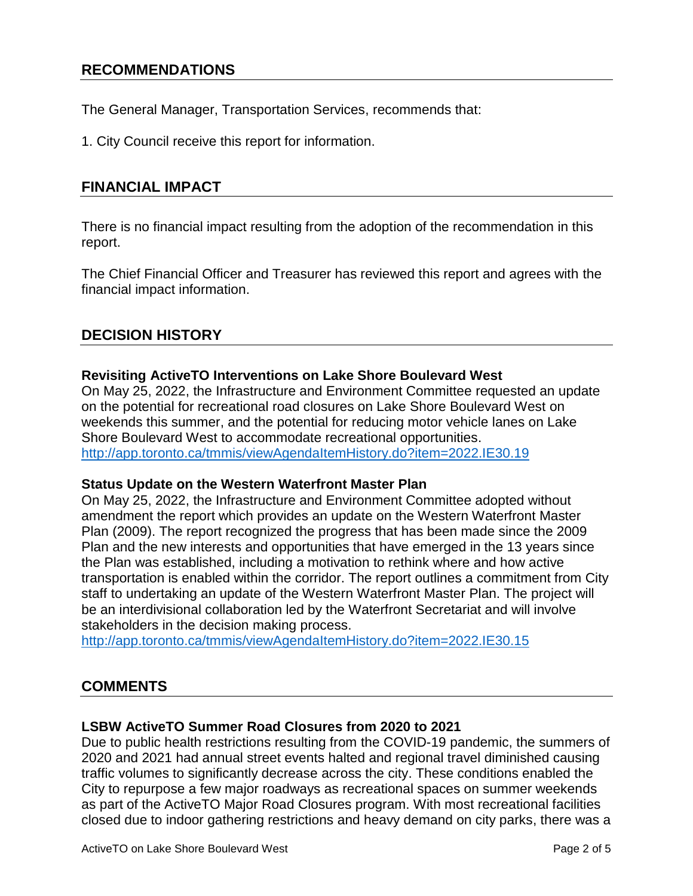# **RECOMMENDATIONS**

The General Manager, Transportation Services, recommends that:<br>1. City Council receive this report for information.

# **FINANCIAL IMPACT**

There is no financial impact resulting from the adoption of the recommendation in this report.

 The Chief Financial Officer and Treasurer has reviewed this report and agrees with the financial impact information.

# **DECISION HISTORY**

#### **Revisiting ActiveTO Interventions on Lake Shore Boulevard West**

 weekends this summer, and the potential for reducing motor vehicle lanes on Lake On May 25, 2022, the [Infrastructure and Environment Committee](http://app.toronto.ca/tmmis/viewAgendaItemHistory.do?item=2021.IE26.20) requested an update on the potential for recreational road closures on Lake Shore Boulevard West on Shore Boulevard West to accommodate recreational opportunities. <http://app.toronto.ca/tmmis/viewAgendaItemHistory.do?item=2022.IE30.19>

#### **Status Update on the Western Waterfront Master Plan**

 amendment the report which provides an update on the Western Waterfront Master Plan (2009). The report recognized the progress that has been made since the 2009 Plan and the new interests and opportunities that have emerged in the 13 years since transportation is enabled within the corridor. The report outlines a commitment from City staff to undertaking an update of the Western Waterfront Master Plan. The project will stakeholders in the decision making process. On May 25, 2022, the Infrastructure and Environment Committee adopted without the Plan was established, including a motivation to rethink where and how active be an interdivisional collaboration led by the Waterfront Secretariat and will involve

http://app.toronto.ca/tmmis/viewAgendaItemHistory.do?item=2022.IE30.15

# **COMMENTS**

### **LSBW ActiveTO Summer Road Closures from 2020 to 2021**

 Due to public health restrictions resulting from the COVID-19 pandemic, the summers of 2020 and 2021 had annual street events halted and regional travel diminished causing City to repurpose a few major roadways as recreational spaces on summer weekends as part of the ActiveTO Major Road Closures program. With most recreational facilities closed due to indoor gathering restrictions and heavy demand on city parks, there was a traffic volumes to significantly decrease across the city. These conditions enabled the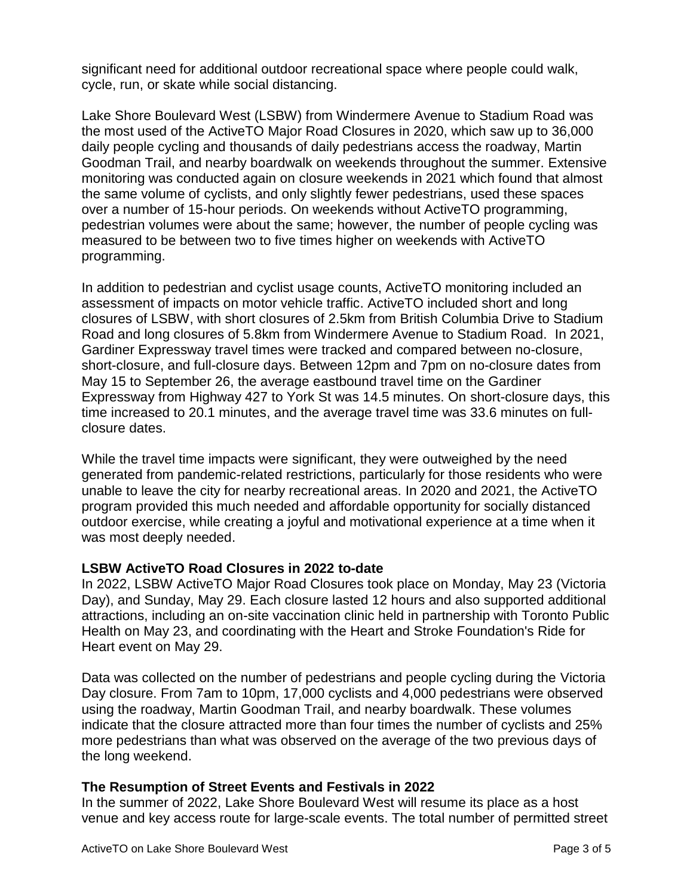significant need for additional outdoor recreational space where people could walk, cycle, run, or skate while social distancing.

 Lake Shore Boulevard West (LSBW) from Windermere Avenue to Stadium Road was the most used of the ActiveTO Major Road Closures in 2020, which saw up to 36,000 daily people cycling and thousands of daily pedestrians access the roadway, Martin Goodman Trail, and nearby boardwalk on weekends throughout the summer. Extensive monitoring was conducted again on closure weekends in 2021 which found that almost the same volume of cyclists, and only slightly fewer pedestrians, used these spaces pedestrian volumes were about the same; however, the number of people cycling was measured to be between two to five times higher on weekends with ActiveTO over a number of 15-hour periods. On weekends without ActiveTO programming, programming.

 In addition to pedestrian and cyclist usage counts, ActiveTO monitoring included an Road and long closures of 5.8km from Windermere Avenue to Stadium Road. In 2021, short-closure, and full-closure days. Between 12pm and 7pm on no-closure dates from May 15 to September 26, the average eastbound travel time on the Gardiner time increased to 20.1 minutes, and the average travel time was 33.6 minutes on full- closure dates. assessment of impacts on motor vehicle traffic. ActiveTO included short and long closures of LSBW, with short closures of 2.5km from British Columbia Drive to Stadium Gardiner Expressway travel times were tracked and compared between no-closure, Expressway from Highway 427 to York St was 14.5 minutes. On short-closure days, this

 While the travel time impacts were significant, they were outweighed by the need unable to leave the city for nearby recreational areas. In 2020 and 2021, the ActiveTO program provided this much needed and affordable opportunity for socially distanced outdoor exercise, while creating a joyful and motivational experience at a time when it generated from pandemic-related restrictions, particularly for those residents who were was most deeply needed.

### **LSBW ActiveTO Road Closures in 2022 to-date**

 In 2022, LSBW ActiveTO Major Road Closures took place on Monday, May 23 (Victoria Health on May 23, and coordinating with the Heart and Stroke Foundation's Ride for Day), and Sunday, May 29. Each closure lasted 12 hours and also supported additional attractions, including an on-site vaccination clinic held in partnership with Toronto Public Heart event on May 29.

 Data was collected on the number of pedestrians and people cycling during the Victoria Day closure. From 7am to 10pm, 17,000 cyclists and 4,000 pedestrians were observed using the roadway, Martin Goodman Trail, and nearby boardwalk. These volumes more pedestrians than what was observed on the average of the two previous days of the long weekend. indicate that the closure attracted more than four times the number of cyclists and 25%

#### **The Resumption of Street Events and Festivals in 2022**

 In the summer of 2022, Lake Shore Boulevard West will resume its place as a host venue and key access route for large-scale events. The total number of permitted street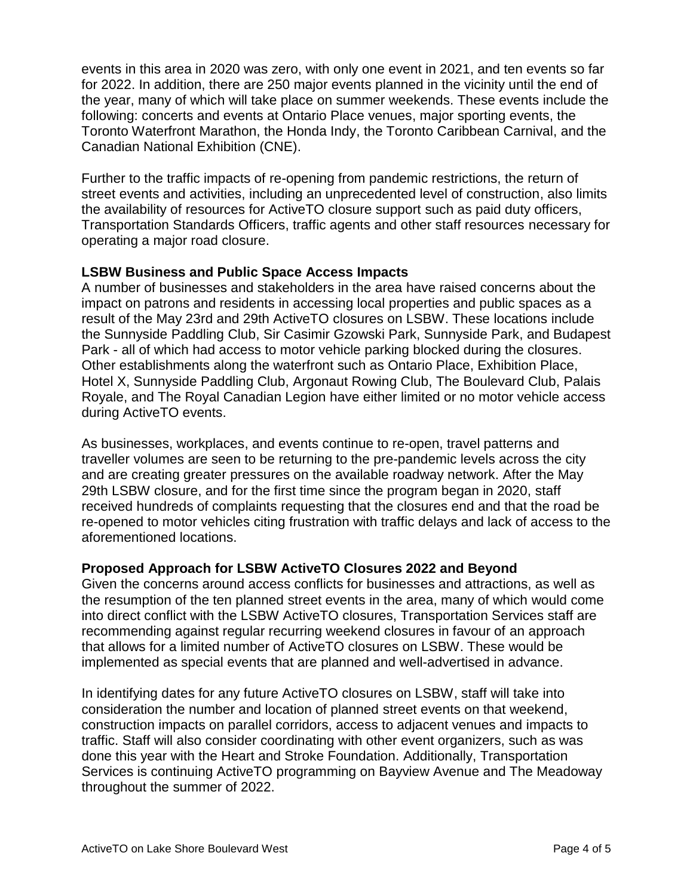events in this area in 2020 was zero, with only one event in 2021, and ten events so far for 2022. In addition, there are 250 major events planned in the vicinity until the end of the year, many of which will take place on summer weekends. These events include the Toronto Waterfront Marathon, the Honda Indy, the Toronto Caribbean Carnival, and the following: concerts and events at Ontario Place venues, major sporting events, the Canadian National Exhibition (CNE).

 Further to the traffic impacts of re-opening from pandemic restrictions, the return of street events and activities, including an unprecedented level of construction, also limits the availability of resources for ActiveTO closure support such as paid duty officers, Transportation Standards Officers, traffic agents and other staff resources necessary for operating a major road closure.

### **LSBW Business and Public Space Access Impacts**

 A number of businesses and stakeholders in the area have raised concerns about the impact on patrons and residents in accessing local properties and public spaces as a result of the May 23rd and 29th ActiveTO closures on LSBW. These locations include the Sunnyside Paddling Club, Sir Casimir Gzowski Park, Sunnyside Park, and Budapest Park - all of which had access to motor vehicle parking blocked during the closures. Royale, and The Royal Canadian Legion have either limited or no motor vehicle access Other establishments along the waterfront such as Ontario Place, Exhibition Place, Hotel X, Sunnyside Paddling Club, Argonaut Rowing Club, The Boulevard Club, Palais during ActiveTO events.

 traveller volumes are seen to be returning to the pre-pandemic levels across the city and are creating greater pressures on the available roadway network. After the May 29th LSBW closure, and for the first time since the program began in 2020, staff received hundreds of complaints requesting that the closures end and that the road be re-opened to motor vehicles citing frustration with traffic delays and lack of access to the As businesses, workplaces, and events continue to re-open, travel patterns and aforementioned locations.

### **Proposed Approach for LSBW ActiveTO Closures 2022 and Beyond**

 the resumption of the ten planned street events in the area, many of which would come into direct conflict with the LSBW ActiveTO closures, Transportation Services staff are recommending against regular recurring weekend closures in favour of an approach that allows for a limited number of ActiveTO closures on LSBW. These would be Given the concerns around access conflicts for businesses and attractions, as well as implemented as special events that are planned and well-advertised in advance.

 In identifying dates for any future ActiveTO closures on LSBW, staff will take into consideration the number and location of planned street events on that weekend, construction impacts on parallel corridors, access to adjacent venues and impacts to done this year with the Heart and Stroke Foundation. Additionally, Transportation Services is continuing ActiveTO programming on Bayview Avenue and The Meadoway throughout the summer of 2022. traffic. Staff will also consider coordinating with other event organizers, such as was throughout the summer of 2022.<br>ActiveTO on Lake Shore Boulevard West Page 4 of 5